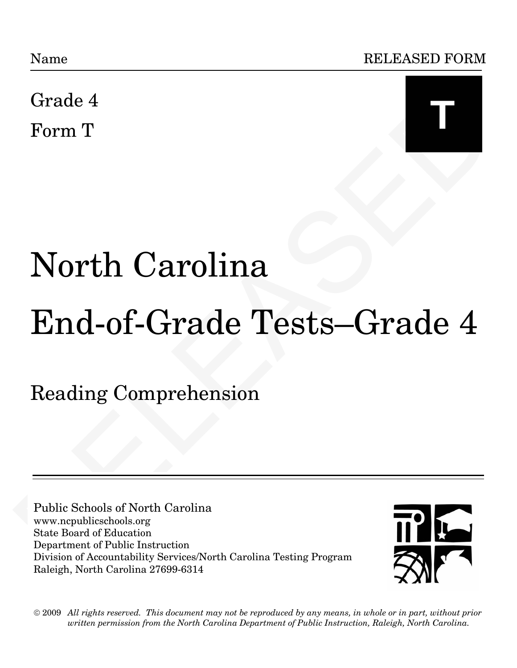

# Grade 4<br>
Form T<br>
North Carolina<br>
End-of-Grade Tests—Grade 4<br>
Reading Comprehension<br>
The Schools of North Carolina<br>
Nate Board of Reading<br>
Nate Board of Reading<br>
Division of Around Palaction<br>
Division of Around Palaction<br>
D Name<br>
Grade 4<br>
Form T<br>
Thomas Book of New York Carolina<br>
Reading Comprehension<br>
The Reading Comprehension<br>
The Reading Comprehension<br>
The Reading Comprehension<br>
The Reading Comprehension<br>
The Reading Comprehension<br>
Name Re North Carolina End-of-Grade Tests—Grade 4

Reading Comprehension

Public Schools of North Carolina www.ncpublicschools.org State Board of Education Department of Public Instruction Division of Accountability Services/North Carolina Testing Program Raleigh, North Carolina 27699-6314



 $\odot$  2009  $\,$  All rights reserved. This document may not be reproduced by any means, in whole or in part, without prior *written permission from the North Carolina Department of Public Instruction, Raleigh, North Carolina. written permission from the North Carolina Department of Public Instruction, Raleigh, North Carolina.*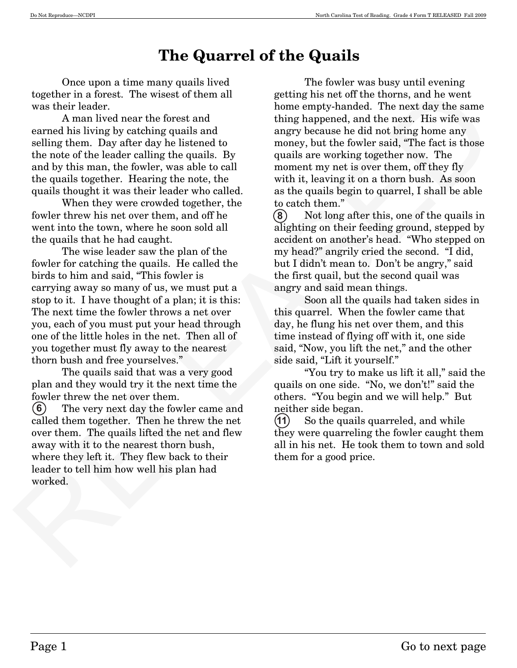# **The Quarrel of the Quails**

 Once upon a time many quails lived together in a forest. The wisest of them all was their leader.

 A man lived near the forest and earned his living by catching quails and selling them. Day after day he listened to the note of the leader calling the quails. By and by this man, the fowler, was able to call the quails together. Hearing the note, the quails thought it was their leader who called.

 When they were crowded together, the fowler threw his net over them, and off he went into the town, where he soon sold all the quails that he had caught.

 The wise leader saw the plan of the fowler for catching the quails. He called the birds to him and said, "This fowler is carrying away so many of us, we must put a stop to it. I have thought of a plan; it is this: The next time the fowler throws a net over you, each of you must put your head through one of the little holes in the net. Then all of you together must fly away to the nearest thorn bush and free yourselves."

 The quails said that was a very good plan and they would try it the next time the fowler threw the net over them.

 The very next day the fowler came and called them together. Then he threw the net over them. The quails lifted the net and flew away with it to the nearest thorn bush, where they left it. They flew back to their leader to tell him how well his plan had worked.  $(6)$ 

together in a forest. The wise<br>set of them all getting his near the then tone, and he west and the space compt<br>shared a form compty-handed. The next day the same cannel his living by eat<br>shipped and thing happenesial, and The fowler was busy until evening getting his net off the thorns, and he went home empty-handed. The next day the same thing happened, and the next. His wife was angry because he did not bring home any money, but the fowler said, "The fact is those quails are working together now. The moment my net is over them, off they fly with it, leaving it on a thorn bush. As soon as the quails begin to quarrel, I shall be able to catch them."

 Not long after this, one of the quails in alighting on their feeding ground, stepped by accident on another's head. "Who stepped on my head?" angrily cried the second. "I did, but I didn't mean to. Don't be angry," said the first quail, but the second quail was angry and said mean things. **-**

 Soon all the quails had taken sides in this quarrel. When the fowler came that day, he flung his net over them, and this time instead of flying off with it, one side said, "Now, you lift the net," and the other side said, "Lift it yourself."

 "You try to make us lift it all," said the quails on one side. "No, we don't!" said the others. "You begin and we will help." But neither side began.

 So the quails quarreled, and while they were quarreling the fowler caught them all in his net. He took them to town and sold them for a good price.  $(11)$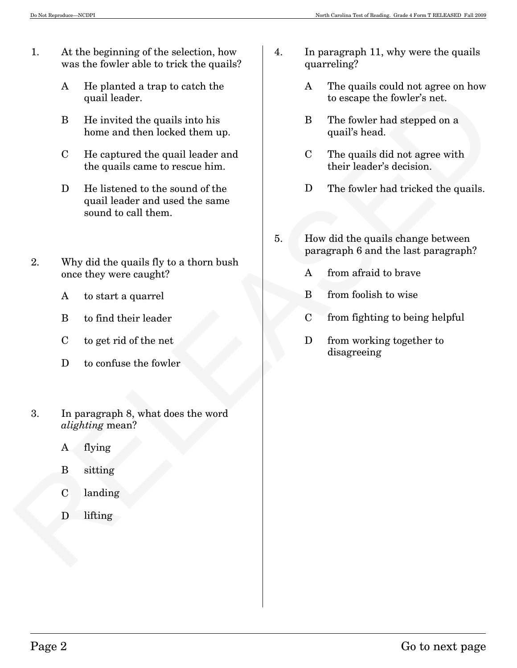- 1. At the beginning of the selection, how was the fowler able to trick the quails?
	- A He planted a trap to catch the quail leader.
	- B He invited the quails into his home and then locked them up.
	- C He captured the quail leader and the quails came to rescue him.
- 4 and leader.<br>
any other the competite for the state of the state of the state of the state of the state of the state of the state of the state of the state of the state of the quali leader and<br>
the quali leader and the s D He listened to the sound of the quail leader and used the same sound to call them.
	- 2. Why did the quails fly to a thorn bush once they were caught?
		- A to start a quarrel
		- B to find their leader
		- C to get rid of the net
		- D to confuse the fowler
	- 3. In paragraph 8, what does the word *alighting* mean?
		- A flying
		- B sitting
		- C landing
		- D lifting
- 4. In paragraph 11, why were the quails quarreling?
	- A The quails could not agree on how to escape the fowler's net.
	- B The fowler had stepped on a quail's head.
	- C The quails did not agree with their leader's decision.
	- D The fowler had tricked the quails.
- 5. How did the quails change between paragraph 6 and the last paragraph?
	- A from afraid to brave
	- B from foolish to wise
	- C from fighting to being helpful
	- D from working together to disagreeing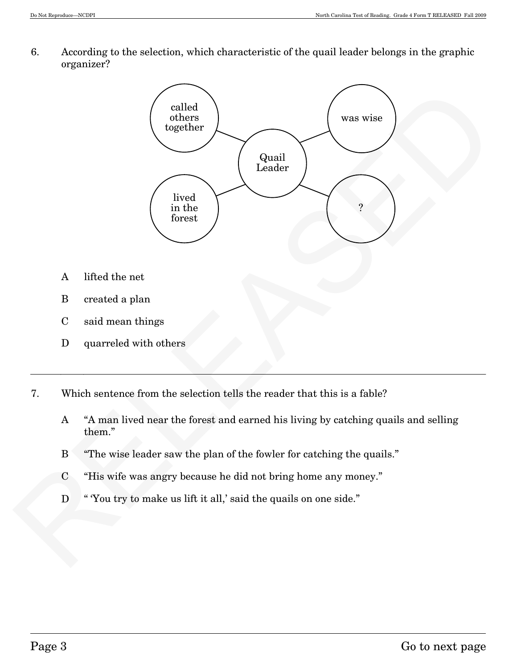6. According to the selection, which characteristic of the quail leader belongs in the graphic organizer?



- A lifted the net
- B created a plan
- C said mean things
- D quarreled with others
- 7. Which sentence from the selection tells the reader that this is a fable?
	- A "A man lived near the forest and earned his living by catching quails and selling them."
	- B "The wise leader saw the plan of the fowler for catching the quails."
	- C "His wife was angry because he did not bring home any money."
	- D " You try to make us lift it all,' said the quails on one side."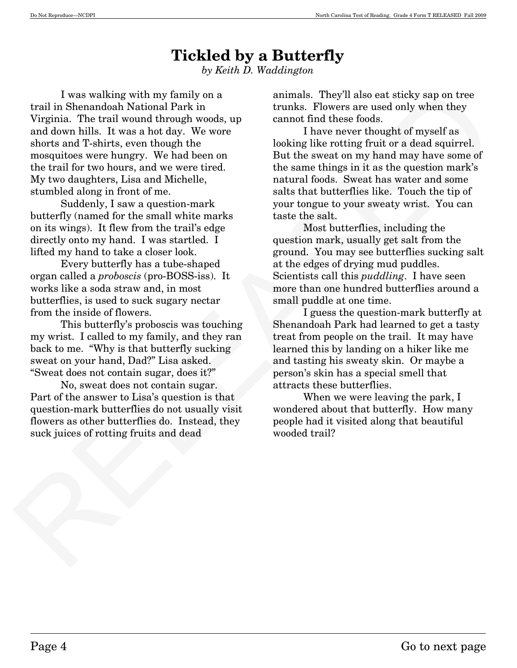# **Tickled by a Butterfly**

*by Keith D. Waddington*

I was walking with my family on a<br>similad. They'll also ear at<br>risky any on the parameloid National Park in trunks. Theorem are used only when they<br>Virginia. The trail wound through wools, 9) cannot find these foods.<br>Some I was walking with my family on a trail in Shenandoah National Park in Virginia. The trail wound through woods, up and down hills. It was a hot day. We wore shorts and T-shirts, even though the mosquitoes were hungry. We had been on the trail for two hours, and we were tired. My two daughters, Lisa and Michelle, stumbled along in front of me.

 Suddenly, I saw a question-mark butterfly (named for the small white marks on its wings). It flew from the trail's edge directly onto my hand. I was startled. I lifted my hand to take a closer look.

 Every butterfly has a tube-shaped organ called a *proboscis* (pro-BOSS-iss). It works like a soda straw and, in most butterflies, is used to suck sugary nectar from the inside of flowers.

 This butterfly's proboscis was touching my wrist. I called to my family, and they ran back to me. "Why is that butterfly sucking sweat on your hand, Dad?" Lisa asked. "Sweat does not contain sugar, does it?"

 No, sweat does not contain sugar. Part of the answer to Lisa's question is that question-mark butterflies do not usually visit flowers as other butterflies do. Instead, they suck juices of rotting fruits and dead

animals. They'll also eat sticky sap on tree trunks. Flowers are used only when they cannot find these foods.

 I have never thought of myself as looking like rotting fruit or a dead squirrel. But the sweat on my hand may have some of the same things in it as the question mark's natural foods. Sweat has water and some salts that butterflies like. Touch the tip of your tongue to your sweaty wrist. You can taste the salt.

 Most butterflies, including the question mark, usually get salt from the ground. You may see butterflies sucking salt at the edges of drying mud puddles. Scientists call this *puddling*. I have seen more than one hundred butterflies around a small puddle at one time.

 I guess the question-mark butterfly at Shenandoah Park had learned to get a tasty treat from people on the trail. It may have learned this by landing on a hiker like me and tasting his sweaty skin. Or maybe a person's skin has a special smell that attracts these butterflies.

 When we were leaving the park, I wondered about that butterfly. How many people had it visited along that beautiful wooded trail?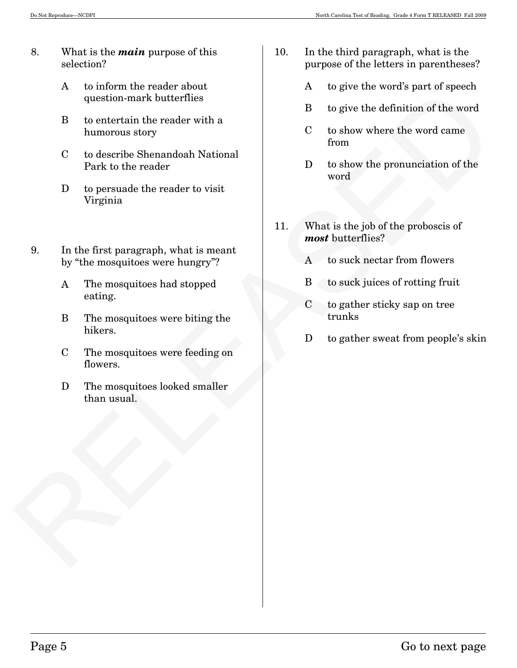- 8. What is the *main* purpose of this selection?
	- A to inform the reader about question-mark butterflies
	- B to entertain the reader with a humorous story
	- C to describe Shenandoah National Park to the reader
	- D to persuade the reader to visit Virginia
- A contain the reader of the term of the control of the state of the state of the state of the state of the state of the state of the state of the state of the state of the state of the state of the state of the state of th 9. In the first paragraph, what is meant by "the mosquitoes were hungry"?
	- A The mosquitoes had stopped eating.
	- B The mosquitoes were biting the hikers.
	- C The mosquitoes were feeding on flowers.
	- D The mosquitoes looked smaller than usual.
- 10. In the third paragraph, what is the purpose of the letters in parentheses?
	- A to give the word's part of speech
	- B to give the definition of the word
	- C to show where the word came from
	- D to show the pronunciation of the word
- 11. What is the job of the proboscis of *most* butterflies?
	- A to suck nectar from flowers
	- B to suck juices of rotting fruit
	- C to gather sticky sap on tree trunks
	- D to gather sweat from people's skin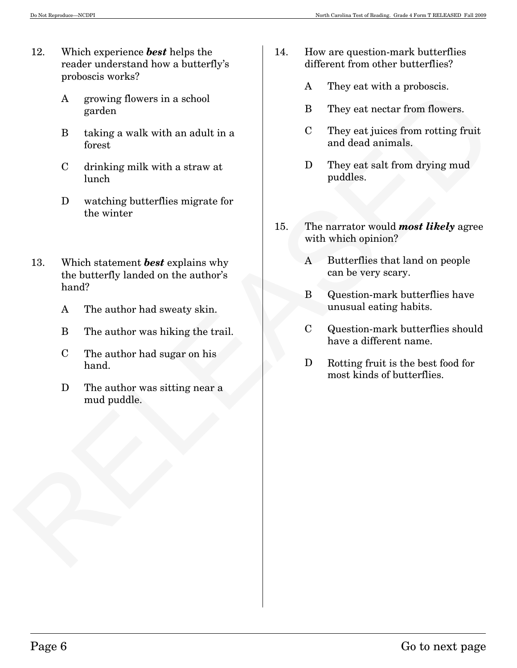- 12. Which experience *best* helps the reader understand how a butterfly's proboscis works?
	- A growing flowers in a school garden
	- B taking a walk with an adult in a forest
	- C drinking milk with a straw at lunch
	- D watching butterflies migrate for the winter
- A growing flowers in a school<br>
B They eat wetter from flowers.<br>
B taking a walk with an adult in a<br>
C They est intees from noting fruit<br>
forest<br>
C drinking milk with a struw at<br>
D They est sinces from noting fruit<br>
linch<br> 13. Which statement *best* explains why the butterfly landed on the author's hand?
	- A The author had sweaty skin.
	- B The author was hiking the trail.
	- C The author had sugar on his hand.
	- D The author was sitting near a mud puddle.
- 14. How are question-mark butterflies different from other butterflies?
	- A They eat with a proboscis.
	- B They eat nectar from flowers.
	- C They eat juices from rotting fruit and dead animals.
	- D They eat salt from drying mud puddles.
- 15. The narrator would *most likely* agree with which opinion?
	- A Butterflies that land on people can be very scary.
	- B Question-mark butterflies have unusual eating habits.
	- C Question-mark butterflies should have a different name.
	- D Rotting fruit is the best food for most kinds of butterflies.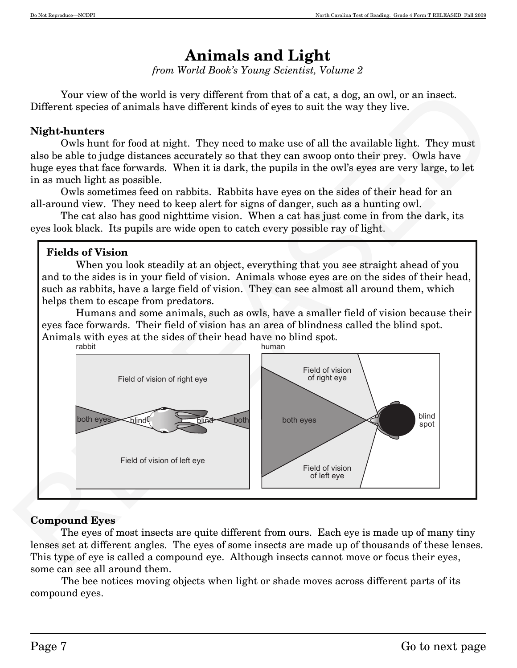# **Animals and Light**

*from World Book's Young Scientist, Volume 2*

 Your view of the world is very different from that of a cat, a dog, an owl, or an insect. Different species of animals have different kinds of eyes to suit the way they live.

#### **Night-hunters**

 Owls hunt for food at night. They need to make use of all the available light. They must also be able to judge distances accurately so that they can swoop onto their prey. Owls have huge eyes that face forwards. When it is dark, the pupils in the owl's eyes are very large, to let in as much light as possible.

 Owls sometimes feed on rabbits. Rabbits have eyes on the sides of their head for an all-around view. They need to keep alert for signs of danger, such as a hunting owl.

 The cat also has good nighttime vision. When a cat has just come in from the dark, its eyes look black. Its pupils are wide open to catch every possible ray of light.

#### **Fields of Vision**

 When you look steadily at an object, everything that you see straight ahead of you and to the sides is in your field of vision. Animals whose eyes are on the sides of their head, such as rabbits, have a large field of vision. They can see almost all around them, which helps them to escape from predators.

 Humans and some animals, such as owls, have a smaller field of vision because their eyes face forwards. Their field of vision has an area of blindness called the blind spot. Animals with eyes at the sides of their head have no blind spot.<br>rabbit rabbit abbit human buman and a bit a state of the buman buman



#### **Compound Eyes**

 The eyes of most insects are quite different from ours. Each eye is made up of many tiny lenses set at different angles. The eyes of some insects are made up of thousands of these lenses. This type of eye is called a compound eye. Although insects cannot move or focus their eyes, some can see all around them.

 The bee notices moving objects when light or shade moves across different parts of its compound eyes.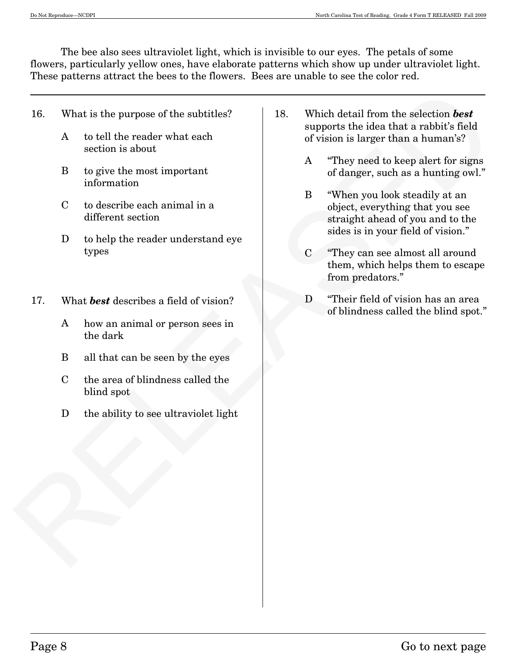The bee also sees ultraviolet light, which is invisible to our eyes. The petals of some flowers, particularly yellow ones, have elaborate patterns which show up under ultraviolet light. These patterns attract the bees to the flowers. Bees are unable to see the color red.

- 16. What is the purpose of the subtitles?
	- A to tell the reader what each section is about
	- B to give the most important information
	- C to describe each animal in a different section
	- D to help the reader understand eye types
- 17. What *best* describes a field of vision?
	- A how an animal or person sees in the dark
	- B all that can be seen by the eyes
	- C the area of blindness called the blind spot
	- D the ability to see ultraviolet light
- 18. Which detail from the selection *best* supports the idea that a rabbit's field of vision is larger than a human's?
	- A "They need to keep alert for signs of danger, such as a hunting owl."
- $\begin{tabular}{l|l|l|l|} \hline \multicolumn{3}{l}{\textbf{R.}} & \multicolumn{3}{l}{\textbf{R.}} & \multicolumn{3}{l}{\textbf{R.}} & \multicolumn{3}{l}{\textbf{R.}} & \multicolumn{3}{l}{\textbf{R.}} & \multicolumn{3}{l}{\textbf{R.}} & \multicolumn{3}{l}{\textbf{R.}} & \multicolumn{3}{l}{\textbf{R.}} & \multicolumn{3}{l}{\textbf{R.}} & \multicolumn{3}{l}{\textbf{R.}} & \multicolumn{3}{l}{\textbf{R.}} & \multicolumn{3}{l}{\textbf{R.$  B "When you look steadily at an object, everything that you see straight ahead of you and to the sides is in your field of vision."
	- C "They can see almost all around them, which helps them to escape from predators."
	- D "Their field of vision has an area of blindness called the blind spot."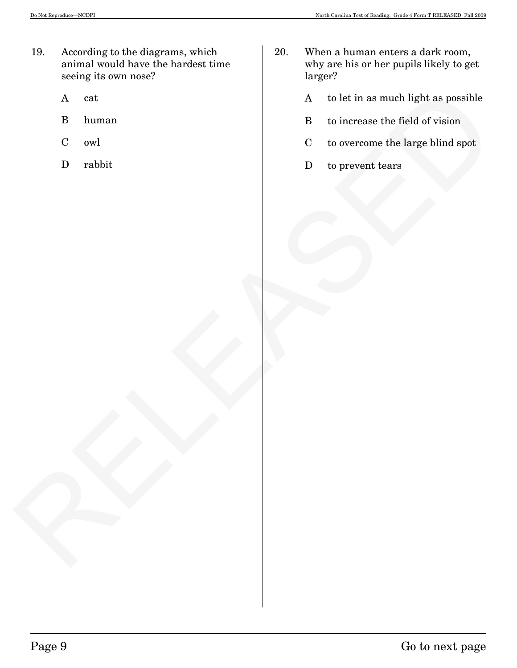- 19. According to the diagrams, which animal would have the hardest time seeing its own nose?
	- A cat
	- B human
	- C owl
	- D rabbit
- 20. When a human enters a dark room, why are his or her pupils likely to get larger?
- A cat<br>
D human<br>
C owl<br>
D rabbit<br>
D rabbit<br>
D rabbit<br>
D to prevent trars<br>
C to overcome the large blind apot<br>
D to prevent trars<br>
C to overcome the large blind apot<br>
D to prevent trars A to let in as much light as possible
	- B to increase the field of vision
	- C to overcome the large blind spot
	- D to prevent tears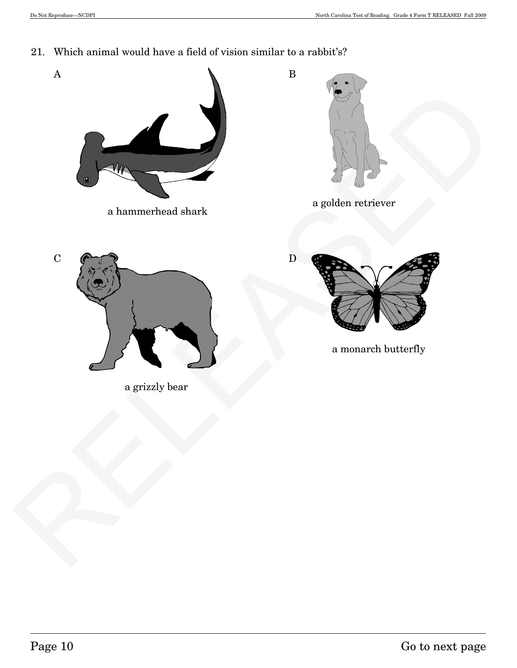21. Which animal would have a field of vision similar to a rabbit's?

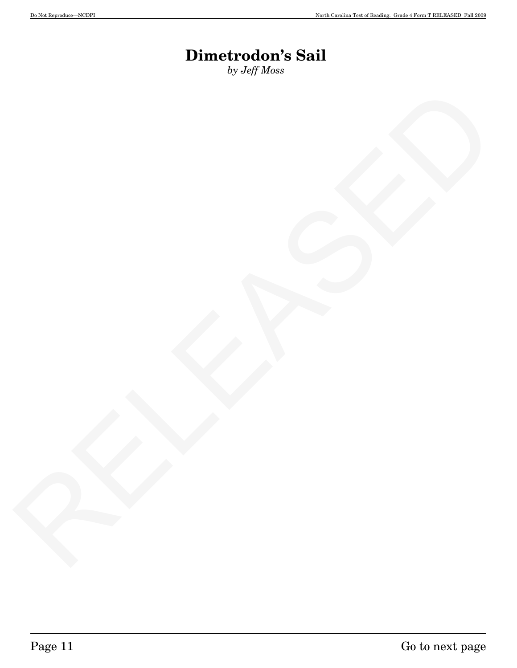# **Dimetrodon's Sail**

*by Jeff Moss*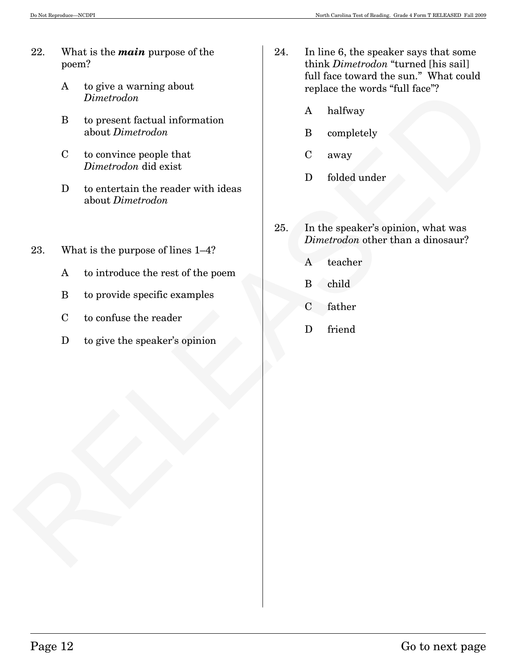- 22. What is the *main* purpose of the poem?
	- A to give a warning about *Dimetrodon*
	- B to present factual information about *Dimetrodon*
	- C to convince people that *Dimetrodon* did exist
	- D to entertain the reader with ideas about *Dimetrodon*
- 23. What is the purpose of lines 1—4?
	- A to introduce the rest of the poem
	- B to provide specific examples
	- C to confuse the reader
	- D to give the speaker's opinion
- 24. In line 6, the speaker says that some think *Dimetrodon* "turned [his sail] full face toward the sun." What could replace the words "full face"?
	- A halfway
	- B completely
	- C away
	- D folded under
- Equive a series factorized the mortal information<br>  $\frac{D|D|}{D}$  to convenie factorize the solution of the complete of the complete of the complete of the control of the control of the control of the property and the reader 25. In the speaker's opinion, what was *Dimetrodon* other than a dinosaur?
	- A teacher
	- B child
	- C father
	- D friend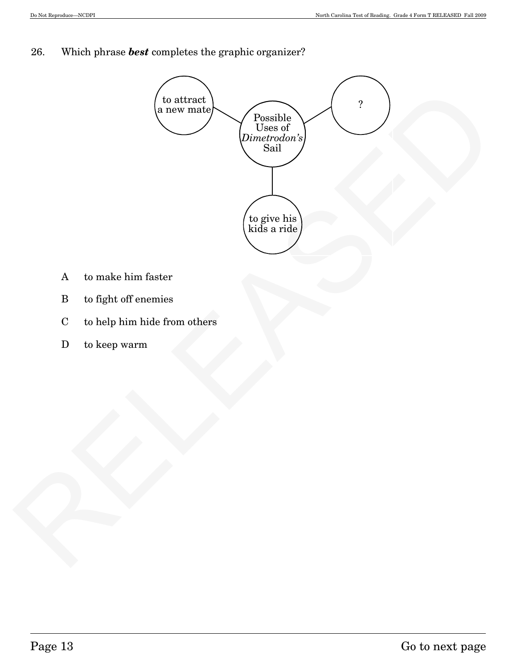26. Which phrase *best* completes the graphic organizer?



- A to make him faster
- B to fight off enemies
- C to help him hide from others
- D to keep warm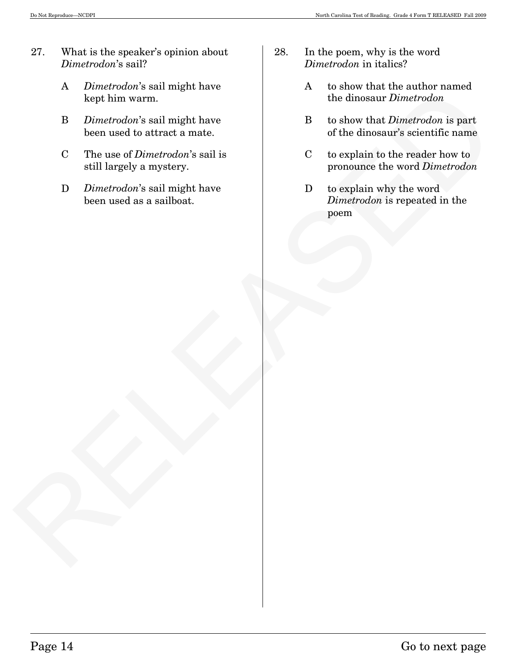- 27. What is the speaker's opinion about *Dimetrodon*'s sail?
	- A *Dimetrodon*'s sail might have kept him warm.
	- B *Dimetrodon*'s sail might have been used to attract a mate.
	- C The use of *Dimetrodon*'s sail is still largely a mystery.
	- D *Dimetrodon*'s sail might have been used as a sailboat.
- 28. In the poem, why is the word *Dimetrodon* in italics?
	- A to show that the author named the dinosaur *Dimetrodon*
	- B to show that *Dimetrodon* is part of the dinosaur's scientific name
	- C to explain to the reader how to pronounce the word *Dimetrodon*
- Experimentation was such that the same of the dimensional control times<br>
Replacementation is the dimensional method of the dimensional control of the dimensional method is proposed to the dimension of the dimension of the D to explain why the word *Dimetrodon* is repeated in the poem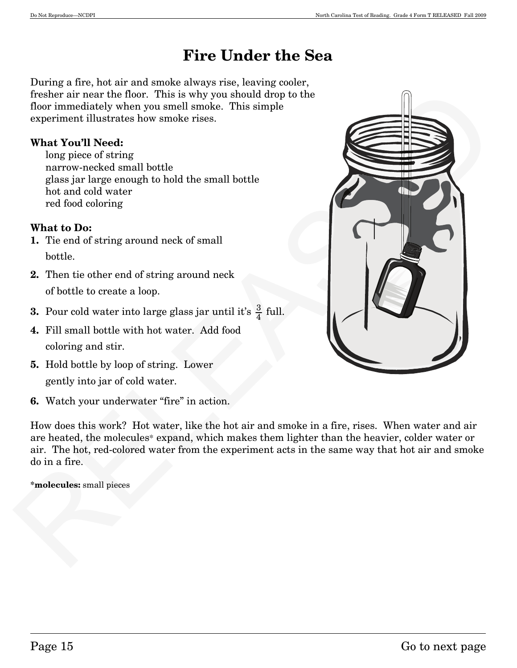# **Fire Under the Sea**

During a fire, hot air and smoke always rise, leaving cooler, fresher air near the floor. This is why you should drop to the floor immediately when you smell smoke. This simple experiment illustrates how smoke rises.

#### **What You'll Need:**

 long piece of string narrow-necked small bottle glass jar large enough to hold the small bottle hot and cold water red food coloring

#### **What to Do:**

- **1.** Tie end of string around neck of small bottle.
- **2.** Then tie other end of string around neck of bottle to create a loop.
- **3.** Pour cold water into large glass jar until it's  $\frac{3}{4}$  full.
- **4.** Fill small bottle with hot water. Add food coloring and stir.
- **5.** Hold bottle by loop of string. Lower gently into jar of cold water.
- **6.** Watch your underwater "fire" in action.

How does this work? Hot water, like the hot air and smoke in a fire, rises. When water and air are heated, the molecules\* expand, which makes them lighter than the heavier, colder water or air. The hot, red-colored water from the experiment acts in the same way that hot air and smoke do in a fire.

**\*molecules:** small pieces

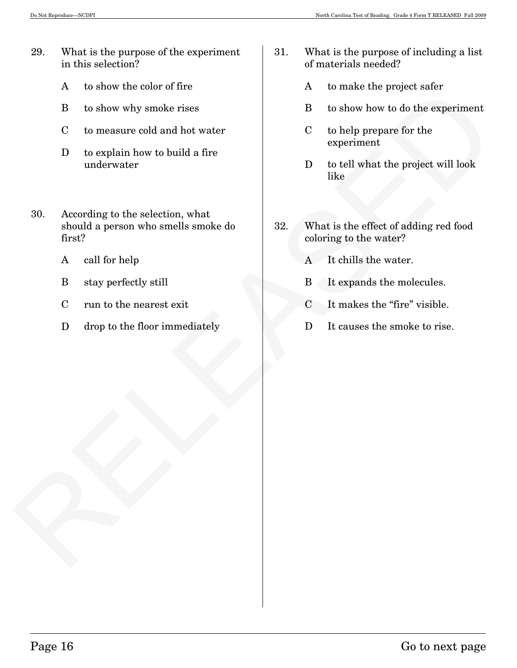- 29. What is the purpose of the experiment in this selection?
	- A to show the color of fire
	- B to show why smoke rises
	- C to measure cold and hot water
	- D to explain how to build a fire underwater
- RELEASE CONTINUES ON the CONTROL CONTROL CONTROL CONTROL CONTROL CONTROL CONTROL CONTROL CONTROL CONTROL CONTROL CONTROL CONTROL CONTROL CONTROL CONTROL CONTROL CONTROL CONTROL CONTROL CONTROL CONTROL CONTROL CONTROL CONTR 30. According to the selection, what should a person who smells smoke do first?
	- A call for help
	- B stay perfectly still
	- C run to the nearest exit
	- D drop to the floor immediately
- 31. What is the purpose of including a list of materials needed?
	- A to make the project safer
	- B to show how to do the experiment
	- C to help prepare for the experiment
	- D to tell what the project will look like
- 32. What is the effect of adding red food coloring to the water?
	- A It chills the water.
	- B It expands the molecules.
	- C It makes the "fire" visible.
	- D It causes the smoke to rise.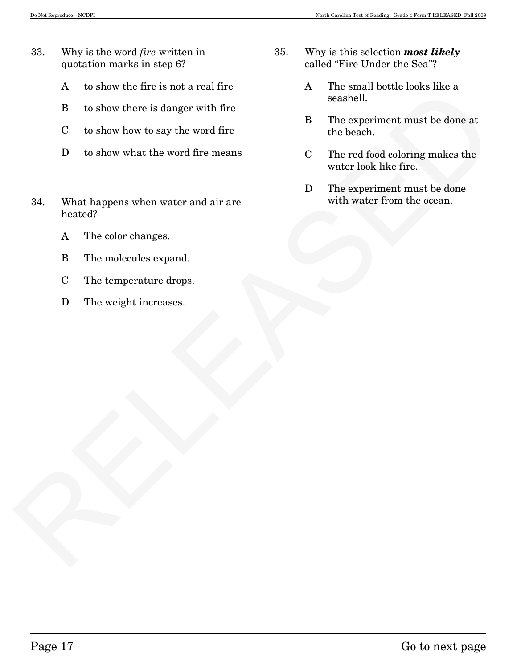- 33. Why is the word *fire* written in quotation marks in step 6?
	- A to show the fire is not a real fire
	- B to show there is danger with fire
	- C to show how to say the word fire
	- D to show what the word fire means
- RELATION CONSIDER THE STATE OF THE SIMULATION CONSIDER THE STATE OF US SIMULATION CONSIDER THE CONSIDER THE STATE OF THE STATE OF THE CONTROLL THE CONTROLL THE CONTROLL THE CONTROLL THE CONTROLL THE CONTROLL THE CONTROLL T 34. What happens when water and air are heated?
	- A The color changes.
	- B The molecules expand.
	- C The temperature drops.
	- D The weight increases.
- 35. Why is this selection *most likely* called "Fire Under the Sea"?
	- A The small bottle looks like a seashell.
	- B The experiment must be done at the beach.
	- C The red food coloring makes the water look like fire.
	- D The experiment must be done with water from the ocean.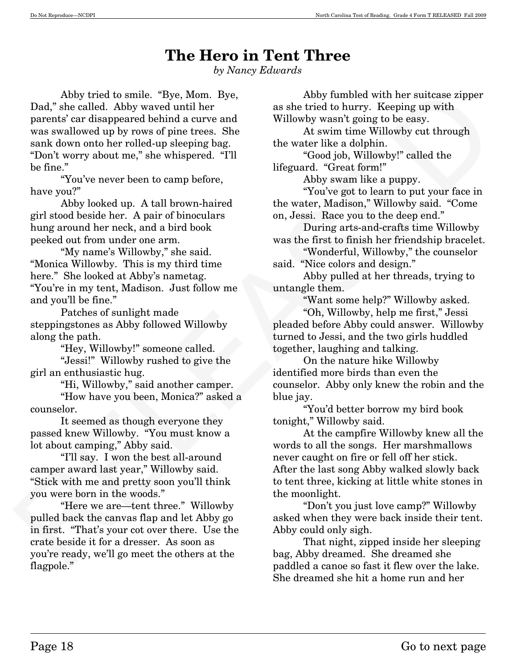# **The Hero in Tent Three**

*by Nancy Edwards* 

 $\begin{tabular}{p{0.875\textwidth}} \hline \textbf{1} \& \textbf{2} \& \textbf{3} \& \textbf{4} \& \textbf{4} \& \textbf{5} \& \textbf{6} \& \textbf{6} \& \textbf{7} \& \textbf{8} \& \textbf{8} \& \textbf{9} \& \textbf{10} \& \textbf{11} \& \textbf{12} \& \textbf{13} \& \textbf{14} \& \textbf{15} \& \textbf{16} \& \textbf{17} \& \textbf{18} \& \textbf{19} \& \textbf{19} \& \textbf{1$ Abby tried to smile. "Bye, Mom. Bye, Dad," she called. Abby waved until her parents' car disappeared behind a curve and was swallowed up by rows of pine trees. She sank down onto her rolled-up sleeping bag. "Don't worry about me," she whispered. "I'll be fine."

 "You've never been to camp before, have you?"

 Abby looked up. A tall brown-haired girl stood beside her. A pair of binoculars hung around her neck, and a bird book peeked out from under one arm.

 "My name's Willowby," she said. "Monica Willowby. This is my third time here." She looked at Abby's nametag. "You're in my tent, Madison. Just follow me and you'll be fine."

 Patches of sunlight made steppingstones as Abby followed Willowby along the path.

"Hey, Willowby!" someone called.

 "Jessi!" Willowby rushed to give the girl an enthusiastic hug.

"Hi, Willowby," said another camper.

 "How have you been, Monica?" asked a counselor.

 It seemed as though everyone they passed knew Willowby. "You must know a lot about camping," Abby said.

 "I'll say. I won the best all-around camper award last year," Willowby said. "Stick with me and pretty soon you'll think you were born in the woods."

 "Here we are–tent three." Willowby pulled back the canvas flap and let Abby go in first. "That's your cot over there. Use the crate beside it for a dresser. As soon as you're ready, we'll go meet the others at the flagpole."

Abby fumbled with her suitcase zipper as she tried to hurry. Keeping up with Willowby wasn't going to be easy.

 At swim time Willowby cut through the water like a dolphin.

 "Good job, Willowby!" called the lifeguard. "Great form!"

Abby swam like a puppy.

 "You've got to learn to put your face in the water, Madison," Willowby said. "Come on, Jessi. Race you to the deep end."

 During arts-and-crafts time Willowby was the first to finish her friendship bracelet.

 "Wonderful, Willowby," the counselor said. "Nice colors and design."

 Abby pulled at her threads, trying to untangle them.

"Want some help?" Willowby asked.

 "Oh, Willowby, help me first," Jessi pleaded before Abby could answer. Willowby turned to Jessi, and the two girls huddled together, laughing and talking.

 On the nature hike Willowby identified more birds than even the counselor. Abby only knew the robin and the blue jay.

 "You'd better borrow my bird book tonight," Willowby said.

At the campfire Willowby knew all the words to all the songs. Her marshmallows never caught on fire or fell off her stick. After the last song Abby walked slowly back to tent three, kicking at little white stones in the moonlight.

 "Don't you just love camp?" Willowby asked when they were back inside their tent. Abby could only sigh.

 That night, zipped inside her sleeping bag, Abby dreamed. She dreamed she paddled a canoe so fast it flew over the lake. She dreamed she hit a home run and her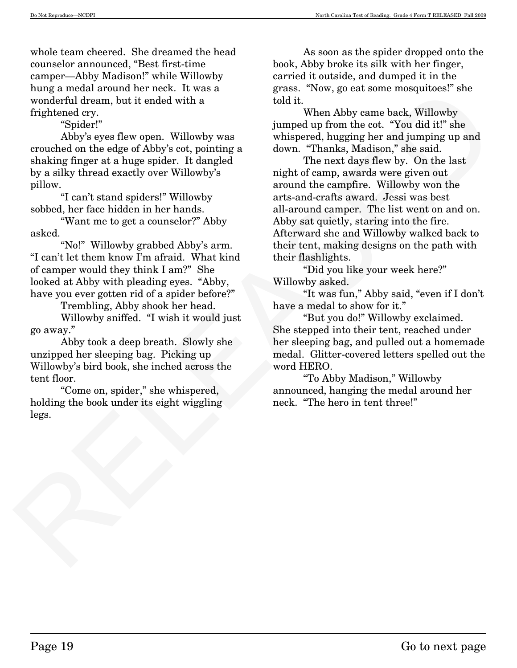whole team cheered. She dreamed the head counselor announced, "Best first-time camper–Abby Madison!" while Willowby hung a medal around her neck. It was a wonderful dream, but it ended with a frightened cry.

"Spider!"

 Abby's eyes flew open. Willowby was crouched on the edge of Abby's cot, pointing a shaking finger at a huge spider. It dangled by a silky thread exactly over Willowby's pillow.

 "I can't stand spiders!" Willowby sobbed, her face hidden in her hands.

 "Want me to get a counselor?" Abby asked.

 "No!" Willowby grabbed Abby's arm. "I can't let them know I'm afraid. What kind of camper would they think I am?" She looked at Abby with pleading eyes. "Abby, have you ever gotten rid of a spider before?"

Trembling, Abby shook her head.

 Willowby sniffed. "I wish it would just go away."

 Abby took a deep breath. Slowly she unzipped her sleeping bag. Picking up Willowby's bird book, she inched across the tent floor.

 "Come on, spider," she whispered, holding the book under its eight wiggling legs.

As soon as the spider dropped onto the book, Abby broke its silk with her finger, carried it outside, and dumped it in the grass. "Now, go eat some mosquitoes!" she told it.

 When Abby came back, Willowby jumped up from the cot. "You did it!" she whispered, hugging her and jumping up and down. "Thanks, Madison," she said.

Note a mean a reverse. It was a<br>wonderful dream, but it ended with a<br>map are not inverse them are the strained with the fighten<br>drep of the space of the space of Abby sets for the space of Abby sets for<br>a simple per simpl The next days flew by. On the last night of camp, awards were given out around the campfire. Willowby won the arts-and-crafts award. Jessi was best all-around camper. The list went on and on. Abby sat quietly, staring into the fire. Afterward she and Willowby walked back to their tent, making designs on the path with their flashlights.

 "Did you like your week here?" Willowby asked.

 "It was fun," Abby said, "even if I don't have a medal to show for it."

 "But you do!" Willowby exclaimed. She stepped into their tent, reached under her sleeping bag, and pulled out a homemade medal. Glitter-covered letters spelled out the word HERO.

 "To Abby Madison," Willowby announced, hanging the medal around her neck. "The hero in tent three!"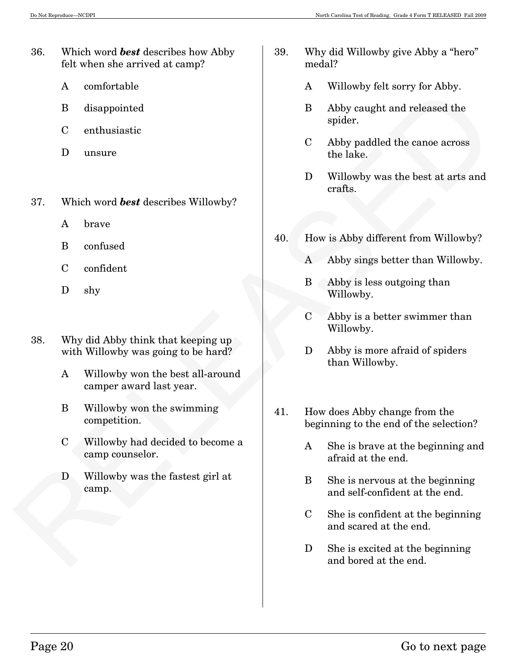- 36. Which word *best* describes how Abby felt when she arrived at camp?
	- A comfortable
	- B disappointed
	- C enthusiastic
	- D unsure
- 37. Which word *best* describes Willowby?
	- A brave
	- B confused
	- C confident
	- D shy
- 38. Why did Abby think that keeping up with Willowby was going to be hard?
	- A Willowby won the best all-around camper award last year.
	- B Willowby won the swimming competition.
	- C Willowby had decided to become a camp counselor.
	- D Willowby was the fastest girl at camp.
- 39. Why did Willowby give Abby a "hero" medal?
	- A Willowby felt sorry for Abby.
	- B Abby caught and released the spider.
	- C Abby paddled the canoe across the lake.
	- D Willowby was the best at arts and crafts.
- 40. How is Abby different from Willowby?
	- A Abby sings better than Willowby.
	- B Abby is less outgoing than Willowby.
	- C Abby is a better swimmer than Willowby.
	- D Abby is more afraid of spiders than Willowby.
- The control out of the states and the two stress of the state of the state of the state of the state of the state of the lake.<br>
Business the lake.<br>
Business the lake.<br>
Dullowly was the best at arts and<br>
37. Which word best 41. How does Abby change from the beginning to the end of the selection?
	- A She is brave at the beginning and afraid at the end.
	- B She is nervous at the beginning and self-confident at the end.
	- C She is confident at the beginning and scared at the end.
	- D She is excited at the beginning and bored at the end.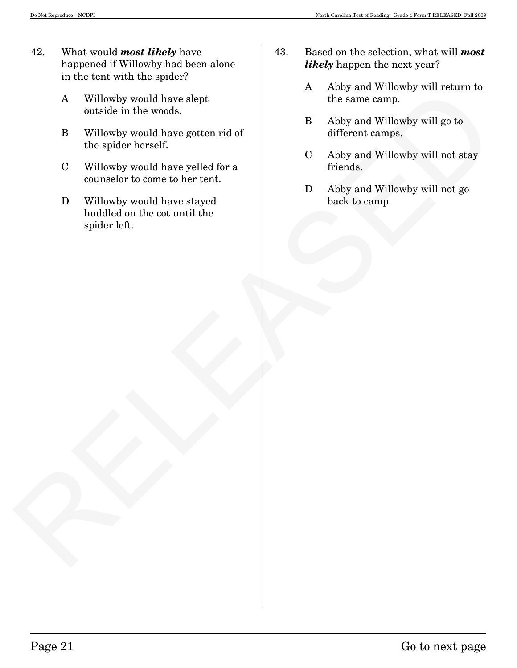- 42. What would *most likely* have happened if Willowby had been alone in the tent with the spider?
	- A Willowby would have slept outside in the woods.
	- B Willowby would have gotten rid of the spider herself.
	- C Willowby would have yelled for a counselor to come to her tent.
- A Willowby would have alapt<br>
outside in the woods.<br>
B Aidiby and Willowby would have gotten rid of<br>
B Abity and Willowby will up to<br>
the apider herself.<br>
C Willowby would have scheet for a<br>
C Abby and Willowby will not sta D Willowby would have stayed huddled on the cot until the spider left.
- 43. Based on the selection, what will *most likely* happen the next year?
	- A Abby and Willowby will return to the same camp.
	- B Abby and Willowby will go to different camps.
	- C Abby and Willowby will not stay friends.
	- D Abby and Willowby will not go back to camp.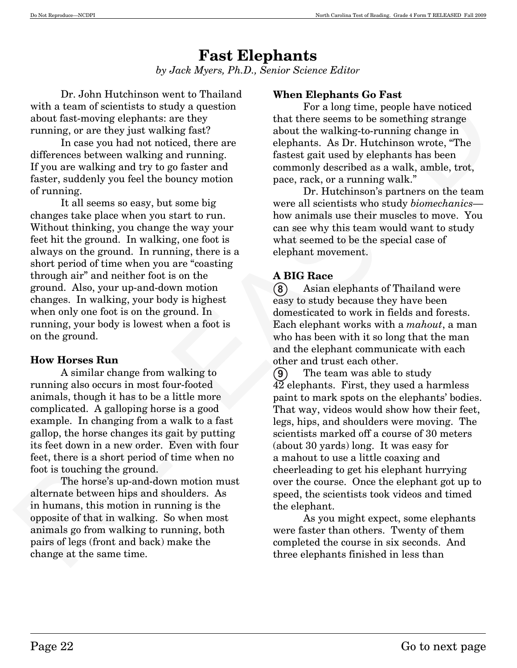## **Fast Elephants**  *by Jack Myers, Ph.D., Senior Science Editor*

Dr. John Hutchinson went to Thailand with a team of scientists to study a question about fast-moving elephants: are they running, or are they just walking fast?

In case you had not noticed, there are differences between walking and running. If you are walking and try to go faster and faster, suddenly you feel the bouncy motion of running.

 It all seems so easy, but some big changes take place when you start to run. Without thinking, you change the way your feet hit the ground. In walking, one foot is always on the ground. In running, there is a short period of time when you are "coasting through air" and neither foot is on the ground. Also, your up-and-down motion changes. In walking, your body is highest when only one foot is on the ground. In running, your body is lowest when a foot is on the ground.

## **How Horses Run**

A similar change from walking to running also occurs in most four-footed animals, though it has to be a little more complicated. A galloping horse is a good example. In changing from a walk to a fast gallop, the horse changes its gait by putting its feet down in a new order. Even with four feet, there is a short period of time when no foot is touching the ground.

The horse's up-and-down motion must alternate between hips and shoulders. As in humans, this motion in running is the opposite of that in walking. So when most animals go from walking to running, both pairs of legs (front and back) make the change at the same time.

## **When Elephants Go Fast**

For a long time, people have noticed that there seems to be something strange about the walking-to-running change in elephants. As Dr. Hutchinson wrote, "The fastest gait used by elephants has been commonly described as a walk, amble, trot, pace, rack, or a running walk."

Dr. Hutchinson's partners on the team were all scientists who study *biomechanics*– how animals use their muscles to move. You can see why this team would want to study what seemed to be the special case of elephant movement.

## **A BIG Race**

 Asian elephants of Thailand were easy to study because they have been domesticated to work in fields and forests. Each elephant works with a *mahout*, a man who has been with it so long that the man and the elephant communicate with each other and trust each other. **-**

Un-dom threthology events of Photon Releases the proposition of the main of scientists are they in that there see<br>along time, people have noticed about fract-orientation with a team of scientists are they into the science The team was able to study 42 elephants. First, they used a harmless paint to mark spots on the elephants' bodies. That way, videos would show how their feet, legs, hips, and shoulders were moving. The scientists marked off a course of 30 meters (about 30 yards) long. It was easy for a mahout to use a little coaxing and cheerleading to get his elephant hurrying over the course. Once the elephant got up to speed, the scientists took videos and timed the elephant.  $\left( 9\right)$ 

As you might expect, some elephants were faster than others. Twenty of them completed the course in six seconds. And three elephants finished in less than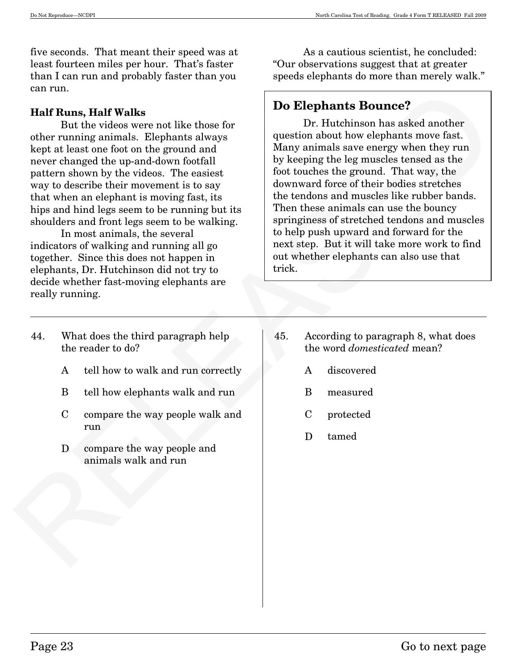five seconds. That meant their speed was at least fourteen miles per hour. That's faster than I can run and probably faster than you can run.

#### **Half Runs, Half Walks**

But the videos were not like those for other running animals. Elephants always kept at least one foot on the ground and never changed the up-and-down footfall pattern shown by the videos. The easiest way to describe their movement is to say that when an elephant is moving fast, its hips and hind legs seem to be running but its shoulders and front legs seem to be walking.

 In most animals, the several indicators of walking and running all go together. Since this does not happen in elephants, Dr. Hutchinson did not try to decide whether fast-moving elephants are really running.

 As a cautious scientist, he concluded: "Our observations suggest that at greater speeds elephants do more than merely walk."

## **Do Elephants Bounce?**

can run.<br>
Talif Rans, Half Walks<br>
Charlie the video were not like those for the control of the control of the ground data<br>
the principal control of the ground data<br>
the principal control of the ground data. The ground dat Dr. Hutchinson has asked another question about how elephants move fast. Many animals save energy when they run by keeping the leg muscles tensed as the foot touches the ground. That way, the downward force of their bodies stretches the tendons and muscles like rubber bands. Then these animals can use the bouncy springiness of stretched tendons and muscles to help push upward and forward for the next step. But it will take more work to find out whether elephants can also use that trick.

- 44. What does the third paragraph help the reader to do?
	- A tell how to walk and run correctly
	- B tell how elephants walk and run
	- C compare the way people walk and run
	- D compare the way people and animals walk and run
- 45. According to paragraph 8, what does the word *domesticated* mean?
	- A discovered
	- B measured
	- C protected
	- D tamed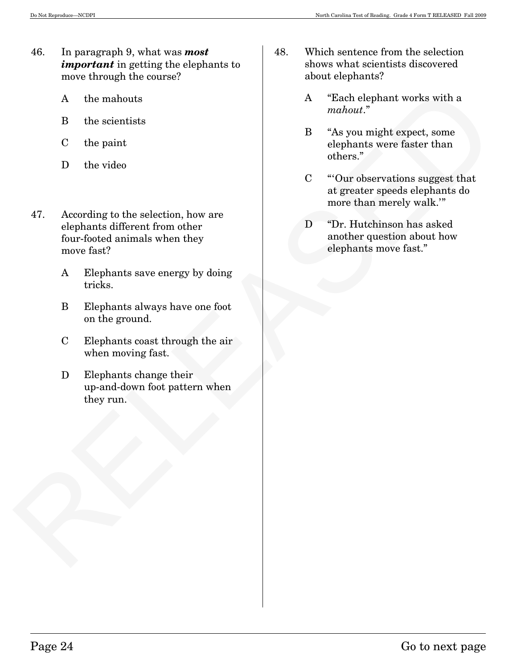- 46. In paragraph 9, what was *most important* in getting the elephants to move through the course?
	- A the mahouts
	- B the scientists
	- C the paint
	- D the video
- RELEASED 47. According to the selection, how are elephants different from other four-footed animals when they move fast?
	- A Elephants save energy by doing tricks.
	- B Elephants always have one foot on the ground.
	- C Elephants coast through the air when moving fast.
	- D Elephants change their up-and-down foot pattern when they run.
- 48. Which sentence from the selection shows what scientists discovered about elephants?
	- A "Each elephant works with a *mahout*."
	- B "As you might expect, some elephants were faster than others."
	- C "'Our observations suggest that at greater speeds elephants do more than merely walk.'"
	- D <sup>"Dr.</sup> Hutchinson has asked another question about how elephants move fast."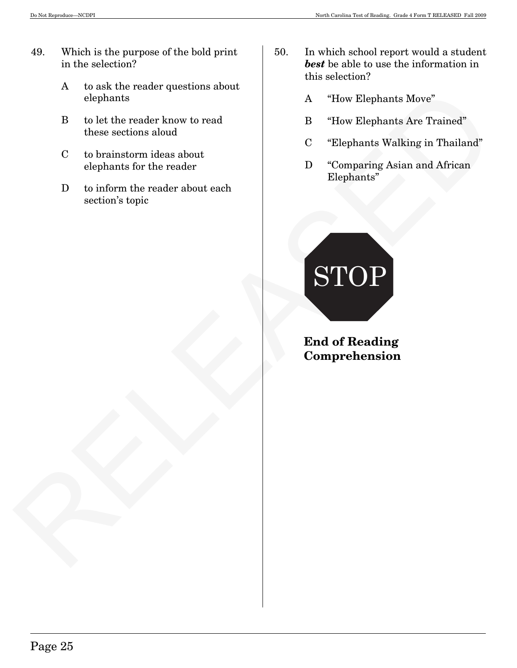- 49. Which is the purpose of the bold print in the selection?
	- A to ask the reader questions about elephants
	- B to let the reader know to read these sections aloud
	- C to brainstorm ideas about elephants for the reader
	- D to inform the reader about each section's topic
- 50. In which school report would a student *best* be able to use the information in this selection?
	- A "How Elephants Move"
	- B "How Elephants Are Trained"
	- C "Elephants Walking in Thailand"
	- D "Comparing Asian and African Elephants"



**End of Reading Comprehension**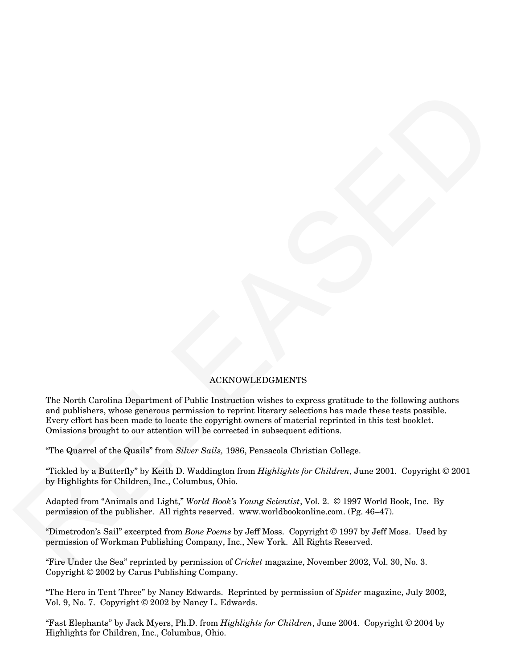#### ACKNOWLEDGMENTS

 $\begin{minipage}[t]{.5cm} \begin{tabular}{p{0.8cm}} \textbf{The Nch1C} & \textbf{NCK} & \textbf{NCK} & \textbf{NCK} & \textbf{NCK} & \textbf{NCK} & \textbf{NCK} & \textbf{NCK} & \textbf{NCK} & \textbf{NCK} & \textbf{NCK} & \textbf{NCK} & \textbf{NCK} & \textbf{NCK} & \textbf{NCK} & \textbf{NCK} & \textbf{NCK} & \textbf{NCK} & \textbf{NCK} & \textbf{NCK} & \textbf{NCK} & \textbf{NCK} & \textbf{NCK} & \textbf{NCK}$ The North Carolina Department of Public Instruction wishes to express gratitude to the following authors and publishers, whose generous permission to reprint literary selections has made these tests possible. Every effort has been made to locate the copyright owners of material reprinted in this test booklet. Omissions brought to our attention will be corrected in subsequent editions.

"The Quarrel of the Quails" from *Silver Sails,* 1986, Pensacola Christian College.

"Tickled by a Butterfly" by Keith D. Waddington from *Highlights for Children*, June 2001. Copyright © 2001 by Highlights for Children, Inc., Columbus, Ohio.

Adapted from "Animals and Light," *World Book's Young Scientist*, Vol. 2. © 1997 World Book, Inc. By permission of the publisher. All rights reserved. www.worldbookonline.com. (Pg. 46—47).

"Dimetrodon's Sail" excerpted from *Bone Poems* by Jeff Moss. Copyright © 1997 by Jeff Moss. Used by permission of Workman Publishing Company, Inc., New York. All Rights Reserved.

"Fire Under the Sea" reprinted by permission of *Cricket* magazine, November 2002, Vol. 30, No. 3. Copyright © 2002 by Carus Publishing Company.

"The Hero in Tent Three" by Nancy Edwards. Reprinted by permission of *Spider* magazine, July 2002, Vol. 9, No. 7. Copyright © 2002 by Nancy L. Edwards.

"Fast Elephants" by Jack Myers, Ph.D. from *Highlights for Children*, June 2004. Copyright © 2004 by Highlights for Children, Inc., Columbus, Ohio.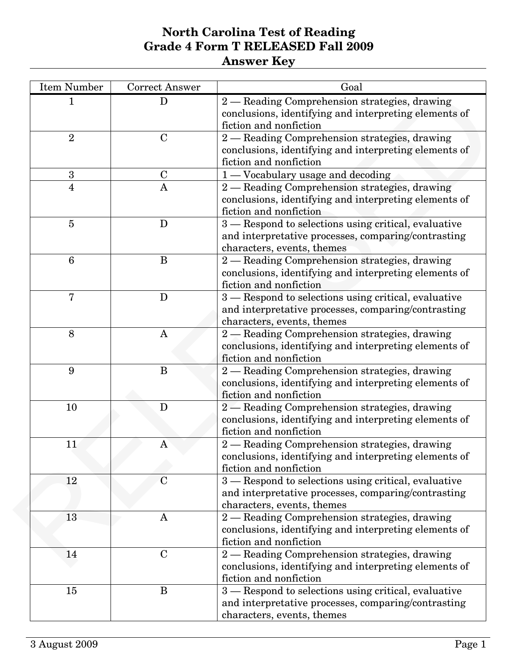| <b>Item Number</b> | <b>Correct Answer</b> | Goal                                                                                                                                      |
|--------------------|-----------------------|-------------------------------------------------------------------------------------------------------------------------------------------|
|                    | D                     | 2 - Reading Comprehension strategies, drawing<br>conclusions, identifying and interpreting elements of<br>fiction and nonfiction          |
| $\overline{2}$     | $\mathbf C$           | 2 - Reading Comprehension strategies, drawing<br>conclusions, identifying and interpreting elements of<br>fiction and nonfiction          |
| 3                  | $\mathbf C$           | 1-Vocabulary usage and decoding                                                                                                           |
| 4                  | A                     | 2 - Reading Comprehension strategies, drawing<br>conclusions, identifying and interpreting elements of<br>fiction and nonfiction          |
| $\overline{5}$     | D                     | 3 – Respond to selections using critical, evaluative<br>and interpretative processes, comparing/contrasting<br>characters, events, themes |
| $6\phantom{1}6$    | B                     | 2 - Reading Comprehension strategies, drawing<br>conclusions, identifying and interpreting elements of<br>fiction and nonfiction          |
| 7                  | D                     | 3 – Respond to selections using critical, evaluative<br>and interpretative processes, comparing/contrasting<br>characters, events, themes |
| 8                  | $\mathbf{A}$          | 2 - Reading Comprehension strategies, drawing<br>conclusions, identifying and interpreting elements of<br>fiction and nonfiction          |
| 9                  | B                     | 2 - Reading Comprehension strategies, drawing<br>conclusions, identifying and interpreting elements of<br>fiction and nonfiction          |
| 10                 | D                     | 2 - Reading Comprehension strategies, drawing<br>conclusions, identifying and interpreting elements of<br>fiction and nonfiction          |
| 11                 | A                     | 2 — Reading Comprehension strategies, drawing<br>conclusions, identifying and interpreting elements of<br>fiction and nonfiction          |
| 12                 | $\mathbf C$           | 3 - Respond to selections using critical, evaluative<br>and interpretative processes, comparing/contrasting<br>characters, events, themes |
| 13                 | A                     | 2 - Reading Comprehension strategies, drawing<br>conclusions, identifying and interpreting elements of<br>fiction and nonfiction          |
| 14                 | $\mathbf C$           | 2 - Reading Comprehension strategies, drawing<br>conclusions, identifying and interpreting elements of<br>fiction and nonfiction          |
| 15                 | B                     | 3 – Respond to selections using critical, evaluative<br>and interpretative processes, comparing/contrasting<br>characters, events, themes |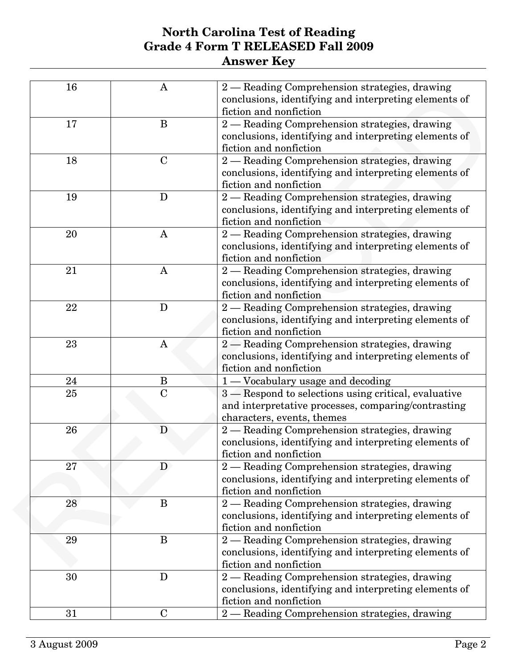| 16 | A            | 2 - Reading Comprehension strategies, drawing<br>conclusions, identifying and interpreting elements of<br>fiction and nonfiction          |
|----|--------------|-------------------------------------------------------------------------------------------------------------------------------------------|
| 17 | B            | 2 - Reading Comprehension strategies, drawing<br>conclusions, identifying and interpreting elements of                                    |
| 18 | $\mathbf C$  | fiction and nonfiction<br>2 - Reading Comprehension strategies, drawing                                                                   |
| 19 | D            | conclusions, identifying and interpreting elements of<br>fiction and nonfiction                                                           |
|    |              | 2 - Reading Comprehension strategies, drawing<br>conclusions, identifying and interpreting elements of<br>fiction and nonfiction          |
| 20 | A            | 2 - Reading Comprehension strategies, drawing<br>conclusions, identifying and interpreting elements of<br>fiction and nonfiction          |
| 21 | $\mathbf{A}$ | 2 - Reading Comprehension strategies, drawing<br>conclusions, identifying and interpreting elements of<br>fiction and nonfiction          |
| 22 | D            | 2 - Reading Comprehension strategies, drawing<br>conclusions, identifying and interpreting elements of<br>fiction and nonfiction          |
| 23 | $\mathbf{A}$ | 2 - Reading Comprehension strategies, drawing<br>conclusions, identifying and interpreting elements of<br>fiction and nonfiction          |
| 24 | B            | 1 — Vocabulary usage and decoding                                                                                                         |
| 25 | $\mathbf C$  | 3 – Respond to selections using critical, evaluative<br>and interpretative processes, comparing/contrasting<br>characters, events, themes |
| 26 | D            | 2 - Reading Comprehension strategies, drawing<br>conclusions, identifying and interpreting elements of<br>fiction and nonfiction          |
| 27 | D            | 2 - Reading Comprehension strategies, drawing<br>conclusions, identifying and interpreting elements of<br>fiction and nonfiction          |
| 28 | B            | 2 - Reading Comprehension strategies, drawing<br>conclusions, identifying and interpreting elements of<br>fiction and nonfiction          |
| 29 | B            | 2 - Reading Comprehension strategies, drawing<br>conclusions, identifying and interpreting elements of<br>fiction and nonfiction          |
| 30 | D            | 2 - Reading Comprehension strategies, drawing<br>conclusions, identifying and interpreting elements of<br>fiction and nonfiction          |
| 31 | $\mathbf C$  | 2 - Reading Comprehension strategies, drawing                                                                                             |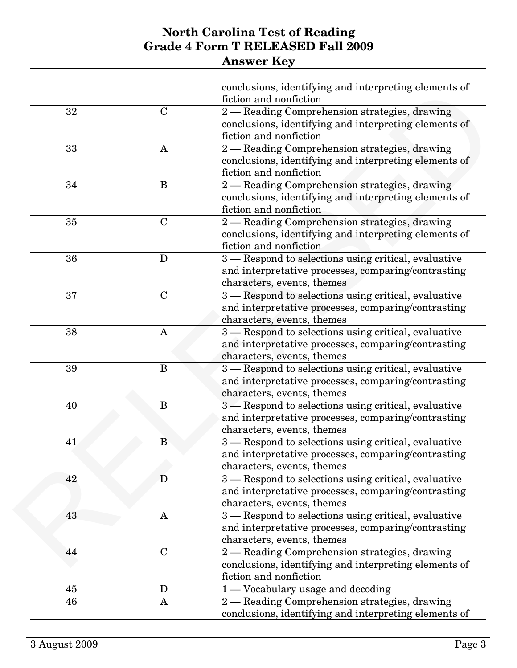|    |              | conclusions, identifying and interpreting elements of |
|----|--------------|-------------------------------------------------------|
|    |              | fiction and nonfiction                                |
| 32 | $\mathbf C$  | 2 - Reading Comprehension strategies, drawing         |
|    |              | conclusions, identifying and interpreting elements of |
|    |              | fiction and nonfiction                                |
| 33 | A            | 2 - Reading Comprehension strategies, drawing         |
|    |              | conclusions, identifying and interpreting elements of |
|    |              | fiction and nonfiction                                |
| 34 | B            | 2 - Reading Comprehension strategies, drawing         |
|    |              | conclusions, identifying and interpreting elements of |
|    |              | fiction and nonfiction                                |
| 35 | $\mathbf C$  | 2 - Reading Comprehension strategies, drawing         |
|    |              | conclusions, identifying and interpreting elements of |
|    |              | fiction and nonfiction                                |
| 36 | D            | 3 – Respond to selections using critical, evaluative  |
|    |              | and interpretative processes, comparing/contrasting   |
|    |              | characters, events, themes                            |
| 37 | $\mathbf C$  | 3 - Respond to selections using critical, evaluative  |
|    |              | and interpretative processes, comparing/contrasting   |
|    |              | characters, events, themes                            |
| 38 | $\mathbf{A}$ | 3 - Respond to selections using critical, evaluative  |
|    |              | and interpretative processes, comparing/contrasting   |
|    |              | characters, events, themes                            |
| 39 | B            | 3 - Respond to selections using critical, evaluative  |
|    |              | and interpretative processes, comparing/contrasting   |
|    |              | characters, events, themes                            |
| 40 | B            | 3 – Respond to selections using critical, evaluative  |
|    |              | and interpretative processes, comparing/contrasting   |
|    |              | characters, events, themes                            |
| 41 | B            | 3 - Respond to selections using critical, evaluative  |
|    |              | and interpretative processes, comparing/contrasting   |
|    |              | characters, events, themes                            |
| 42 | D            | 3 – Respond to selections using critical, evaluative  |
|    |              | and interpretative processes, comparing/contrasting   |
|    |              | characters, events, themes                            |
| 43 | A            | 3 - Respond to selections using critical, evaluative  |
|    |              | and interpretative processes, comparing/contrasting   |
|    |              | characters, events, themes                            |
| 44 | $\mathbf C$  | 2 - Reading Comprehension strategies, drawing         |
|    |              | conclusions, identifying and interpreting elements of |
|    |              | fiction and nonfiction                                |
| 45 | D            | 1 - Vocabulary usage and decoding                     |
| 46 | $\mathbf{A}$ | 2 - Reading Comprehension strategies, drawing         |
|    |              | conclusions, identifying and interpreting elements of |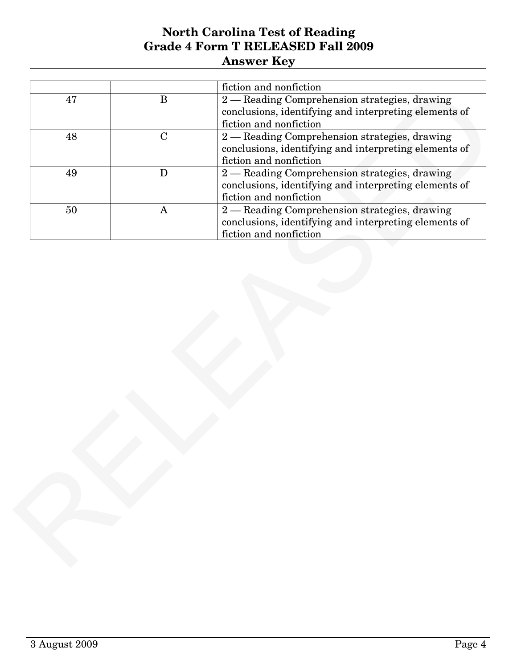| 47 |              |                                                                                 |
|----|--------------|---------------------------------------------------------------------------------|
|    | $\bf{B}$     | fiction and nonfiction<br>2 - Reading Comprehension strategies, drawing         |
|    |              | conclusions, identifying and interpreting elements of<br>fiction and nonfiction |
| 48 | $\mathbf C$  | 2 - Reading Comprehension strategies, drawing                                   |
|    |              | conclusions, identifying and interpreting elements of                           |
|    |              | fiction and nonfiction                                                          |
| 49 | D            | 2 - Reading Comprehension strategies, drawing                                   |
|    |              | conclusions, identifying and interpreting elements of                           |
|    |              | fiction and nonfiction                                                          |
| 50 | $\mathbf{A}$ | 2 - Reading Comprehension strategies, drawing                                   |
|    |              | conclusions, identifying and interpreting elements of<br>fiction and nonfiction |
|    |              |                                                                                 |
|    |              |                                                                                 |
|    |              |                                                                                 |
|    |              |                                                                                 |
|    |              |                                                                                 |
|    |              |                                                                                 |
|    |              |                                                                                 |
|    |              |                                                                                 |
|    |              |                                                                                 |
|    |              |                                                                                 |
|    |              |                                                                                 |
|    |              |                                                                                 |
|    |              |                                                                                 |
|    |              |                                                                                 |
|    |              |                                                                                 |
|    |              |                                                                                 |
|    |              |                                                                                 |
|    |              |                                                                                 |
|    |              |                                                                                 |
|    |              |                                                                                 |
|    |              |                                                                                 |
|    |              |                                                                                 |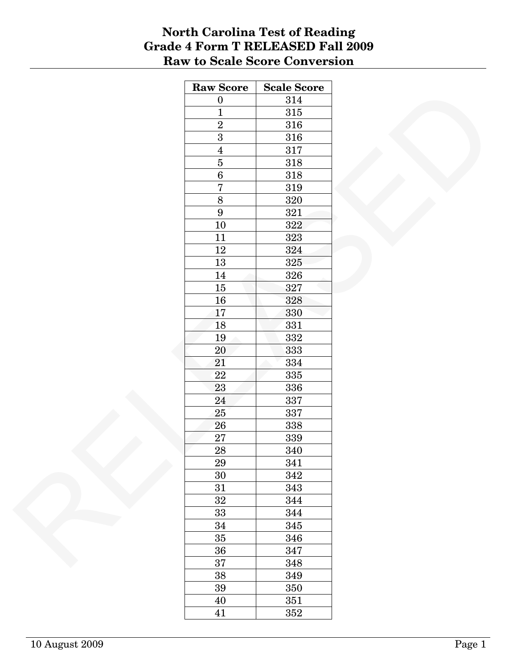#### **North Carolina Test of Reading Grade 4 Form T RELEASED Fall 2009 Raw to Scale Score Conversion**

| <b>Raw Score</b> | <b>Scale Score</b> |
|------------------|--------------------|
| $\boldsymbol{0}$ | 314                |
| $\overline{1}$   | $315\,$            |
| $\overline{2}$   | 316                |
| $\overline{3}$   | 316                |
| $\overline{4}$   | $317\,$            |
| $\overline{5}$   | 318                |
| $\overline{6}$   | $318\,$            |
| $\overline{7}$   | 319                |
| $\overline{8}$   | 320                |
| $\boldsymbol{9}$ | $321\,$            |
| $10\,$           | 322                |
| 11               | 323                |
| $12\,$           | 324                |
| $13\,$           | 325                |
| $14\,$           | 326                |
| $15\,$           | 327                |
| $16\,$           | 328                |
| 17               | 330                |
|                  |                    |
| 18               | 331                |
| $19\,$           | $332\,$            |
| $20\,$           | 333                |
| 21               | 334                |
| $22\,$           | 335                |
| 23               | 336                |
| 24               | 337                |
| $25\,$           | 337                |
| ${\bf 26}$       | 338                |
| 27               | 339                |
| $\overline{28}$  | 340                |
| 29               | 341                |
| 30               | $342\,$            |
| 31               | 343                |
| $32\,$           | 344                |
| $33\,$           | 344                |
| 34               | 345                |
| $35\,$           | 346                |
| 36               | 347                |
| 37               | 348                |
| $38\,$           | 349                |
| $39\,$           | 350                |
| $40\,$           | $351\,$            |
| $41\,$           | $352\,$            |
|                  |                    |